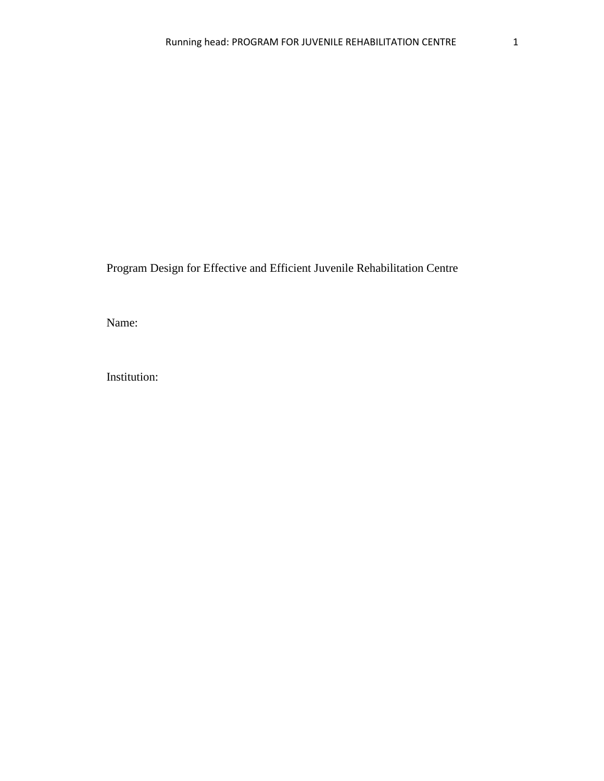Program Design for Effective and Efficient Juvenile Rehabilitation Centre

Name:

Institution: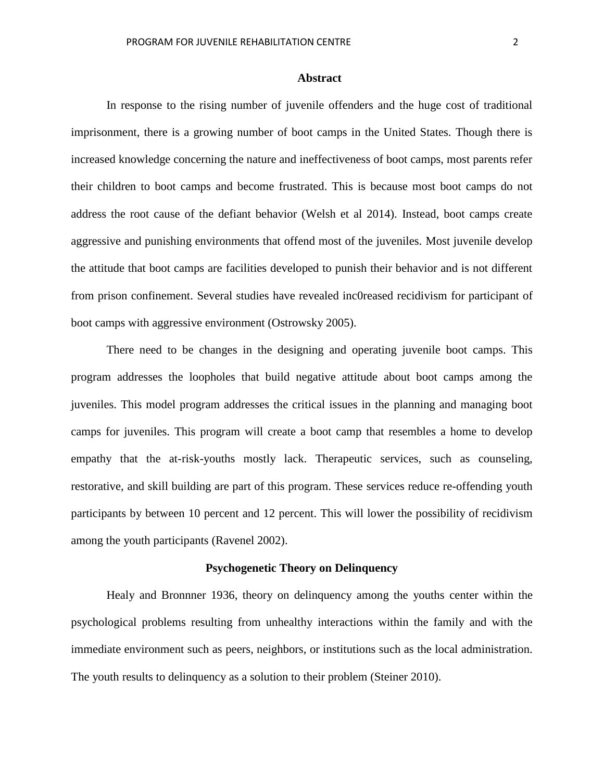### **Abstract**

In response to the rising number of juvenile offenders and the huge cost of traditional imprisonment, there is a growing number of boot camps in the United States. Though there is increased knowledge concerning the nature and ineffectiveness of boot camps, most parents refer their children to boot camps and become frustrated. This is because most boot camps do not address the root cause of the defiant behavior (Welsh et al 2014). Instead, boot camps create aggressive and punishing environments that offend most of the juveniles. Most juvenile develop the attitude that boot camps are facilities developed to punish their behavior and is not different from prison confinement. Several studies have revealed inc0reased recidivism for participant of boot camps with aggressive environment (Ostrowsky 2005).

There need to be changes in the designing and operating juvenile boot camps. This program addresses the loopholes that build negative attitude about boot camps among the juveniles. This model program addresses the critical issues in the planning and managing boot camps for juveniles. This program will create a boot camp that resembles a home to develop empathy that the at-risk-youths mostly lack. Therapeutic services, such as counseling, restorative, and skill building are part of this program. These services reduce re-offending youth participants by between 10 percent and 12 percent. This will lower the possibility of recidivism among the youth participants (Ravenel 2002).

# **Psychogenetic Theory on Delinquency**

Healy and Bronnner 1936, theory on delinquency among the youths center within the psychological problems resulting from unhealthy interactions within the family and with the immediate environment such as peers, neighbors, or institutions such as the local administration. The youth results to delinquency as a solution to their problem (Steiner 2010).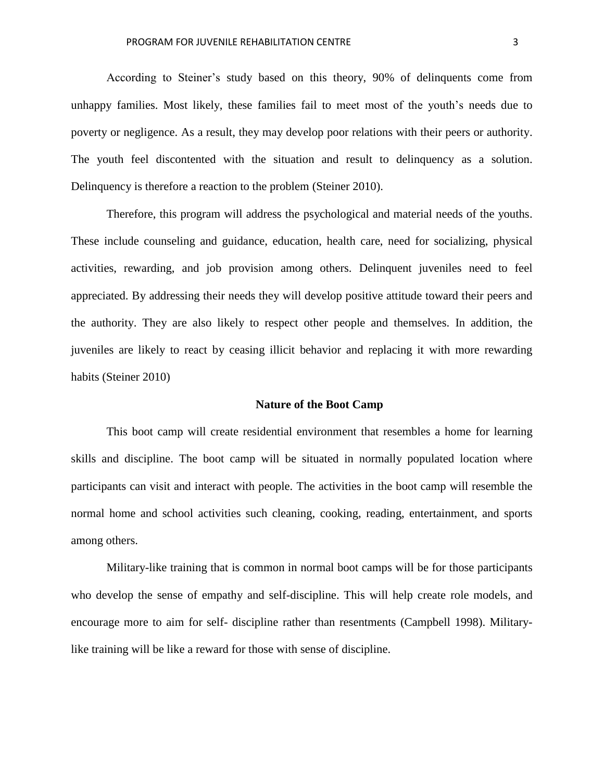According to Steiner's study based on this theory, 90% of delinquents come from unhappy families. Most likely, these families fail to meet most of the youth's needs due to poverty or negligence. As a result, they may develop poor relations with their peers or authority. The youth feel discontented with the situation and result to delinquency as a solution. Delinquency is therefore a reaction to the problem (Steiner 2010).

Therefore, this program will address the psychological and material needs of the youths. These include counseling and guidance, education, health care, need for socializing, physical activities, rewarding, and job provision among others. Delinquent juveniles need to feel appreciated. By addressing their needs they will develop positive attitude toward their peers and the authority. They are also likely to respect other people and themselves. In addition, the juveniles are likely to react by ceasing illicit behavior and replacing it with more rewarding habits (Steiner 2010)

#### **Nature of the Boot Camp**

This boot camp will create residential environment that resembles a home for learning skills and discipline. The boot camp will be situated in normally populated location where participants can visit and interact with people. The activities in the boot camp will resemble the normal home and school activities such cleaning, cooking, reading, entertainment, and sports among others.

Military-like training that is common in normal boot camps will be for those participants who develop the sense of empathy and self-discipline. This will help create role models, and encourage more to aim for self- discipline rather than resentments (Campbell 1998). Militarylike training will be like a reward for those with sense of discipline.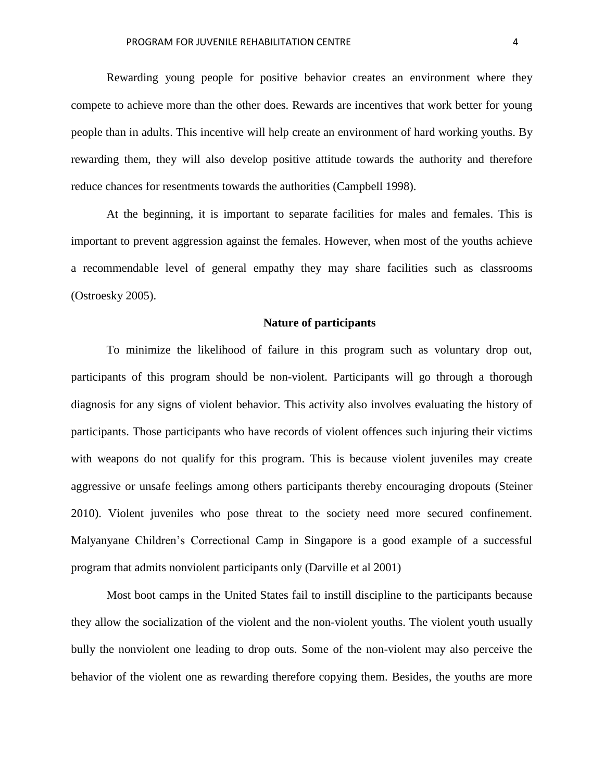Rewarding young people for positive behavior creates an environment where they compete to achieve more than the other does. Rewards are incentives that work better for young people than in adults. This incentive will help create an environment of hard working youths. By rewarding them, they will also develop positive attitude towards the authority and therefore reduce chances for resentments towards the authorities (Campbell 1998).

At the beginning, it is important to separate facilities for males and females. This is important to prevent aggression against the females. However, when most of the youths achieve a recommendable level of general empathy they may share facilities such as classrooms (Ostroesky 2005).

### **Nature of participants**

To minimize the likelihood of failure in this program such as voluntary drop out, participants of this program should be non-violent. Participants will go through a thorough diagnosis for any signs of violent behavior. This activity also involves evaluating the history of participants. Those participants who have records of violent offences such injuring their victims with weapons do not qualify for this program. This is because violent juveniles may create aggressive or unsafe feelings among others participants thereby encouraging dropouts (Steiner 2010). Violent juveniles who pose threat to the society need more secured confinement. Malyanyane Children's Correctional Camp in Singapore is a good example of a successful program that admits nonviolent participants only (Darville et al 2001)

Most boot camps in the United States fail to instill discipline to the participants because they allow the socialization of the violent and the non-violent youths. The violent youth usually bully the nonviolent one leading to drop outs. Some of the non-violent may also perceive the behavior of the violent one as rewarding therefore copying them. Besides, the youths are more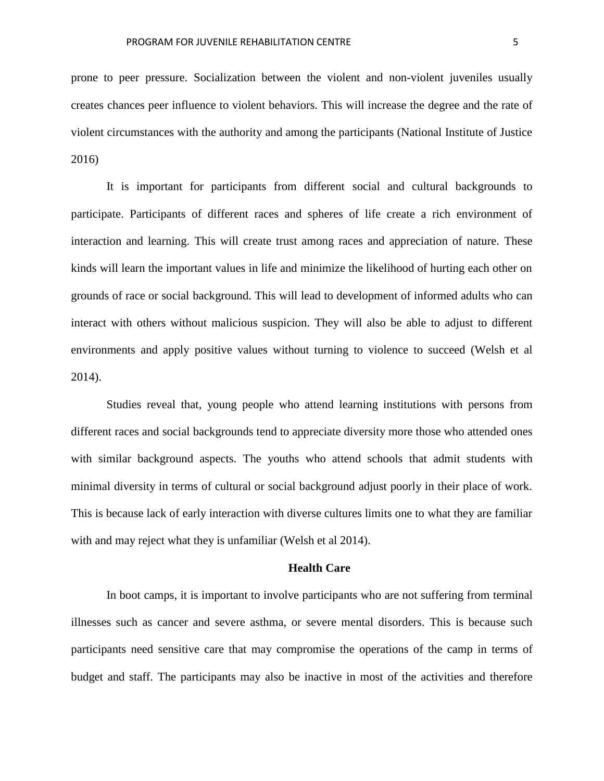prone to peer pressure. Socialization between the violent and non-violent juveniles usually creates chances peer influence to violent behaviors. This will increase the degree and the rate of violent circumstances with the authority and among the participants (National Institute of Justice 2016)

It is important for participants from different social and cultural backgrounds to participate. Participants of different races and spheres of life create a rich environment of interaction and learning. This will create trust among races and appreciation of nature. These kinds will learn the important values in life and minimize the likelihood of hurting each other on grounds of race or social background. This will lead to development of informed adults who can interact with others without malicious suspicion. They will also be able to adjust to different environments and apply positive values without turning to violence to succeed (Welsh et al 2014).

Studies reveal that, young people who attend learning institutions with persons from different races and social backgrounds tend to appreciate diversity more those who attended ones with similar background aspects. The youths who attend schools that admit students with minimal diversity in terms of cultural or social background adjust poorly in their place of work. This is because lack of early interaction with diverse cultures limits one to what they are familiar with and may reject what they is unfamiliar (Welsh et al 2014).

# **Health Care**

In boot camps, it is important to involve participants who are not suffering from terminal illnesses such as cancer and severe asthma, or severe mental disorders. This is because such participants need sensitive care that may compromise the operations of the camp in terms of budget and staff. The participants may also be inactive in most of the activities and therefore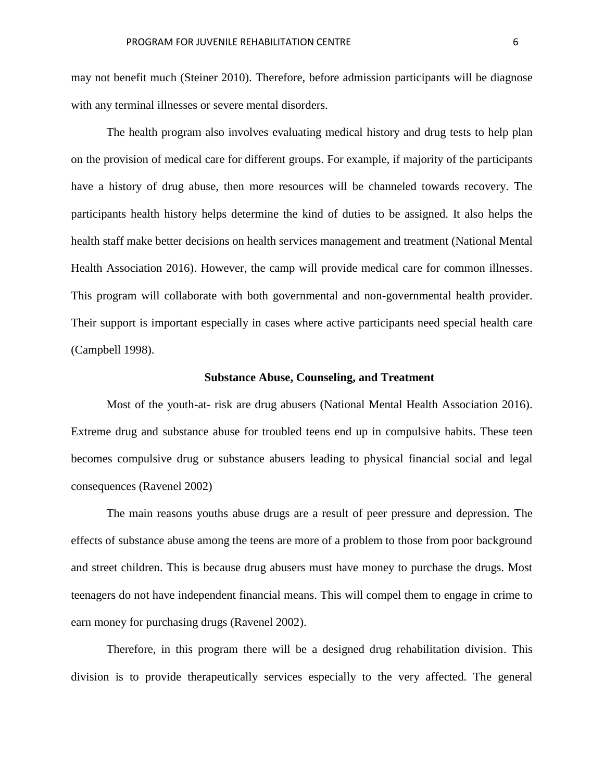may not benefit much (Steiner 2010). Therefore, before admission participants will be diagnose with any terminal illnesses or severe mental disorders.

The health program also involves evaluating medical history and drug tests to help plan on the provision of medical care for different groups. For example, if majority of the participants have a history of drug abuse, then more resources will be channeled towards recovery. The participants health history helps determine the kind of duties to be assigned. It also helps the health staff make better decisions on health services management and treatment (National Mental Health Association 2016). However, the camp will provide medical care for common illnesses. This program will collaborate with both governmental and non-governmental health provider. Their support is important especially in cases where active participants need special health care (Campbell 1998).

#### **Substance Abuse, Counseling, and Treatment**

Most of the youth-at- risk are drug abusers (National Mental Health Association 2016). Extreme drug and substance abuse for troubled teens end up in compulsive habits. These teen becomes compulsive drug or substance abusers leading to physical financial social and legal consequences (Ravenel 2002)

The main reasons youths abuse drugs are a result of peer pressure and depression. The effects of substance abuse among the teens are more of a problem to those from poor background and street children. This is because drug abusers must have money to purchase the drugs. Most teenagers do not have independent financial means. This will compel them to engage in crime to earn money for purchasing drugs (Ravenel 2002).

Therefore, in this program there will be a designed drug rehabilitation division. This division is to provide therapeutically services especially to the very affected. The general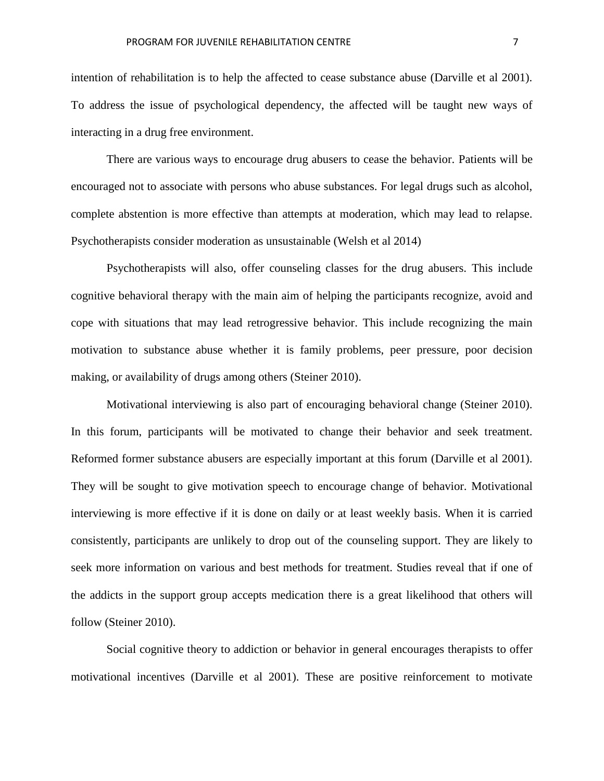intention of rehabilitation is to help the affected to cease substance abuse (Darville et al 2001). To address the issue of psychological dependency, the affected will be taught new ways of interacting in a drug free environment.

There are various ways to encourage drug abusers to cease the behavior. Patients will be encouraged not to associate with persons who abuse substances. For legal drugs such as alcohol, complete abstention is more effective than attempts at moderation, which may lead to relapse. Psychotherapists consider moderation as unsustainable (Welsh et al 2014)

Psychotherapists will also, offer counseling classes for the drug abusers. This include cognitive behavioral therapy with the main aim of helping the participants recognize, avoid and cope with situations that may lead retrogressive behavior. This include recognizing the main motivation to substance abuse whether it is family problems, peer pressure, poor decision making, or availability of drugs among others (Steiner 2010).

Motivational interviewing is also part of encouraging behavioral change (Steiner 2010). In this forum, participants will be motivated to change their behavior and seek treatment. Reformed former substance abusers are especially important at this forum (Darville et al 2001). They will be sought to give motivation speech to encourage change of behavior. Motivational interviewing is more effective if it is done on daily or at least weekly basis. When it is carried consistently, participants are unlikely to drop out of the counseling support. They are likely to seek more information on various and best methods for treatment. Studies reveal that if one of the addicts in the support group accepts medication there is a great likelihood that others will follow (Steiner 2010).

Social cognitive theory to addiction or behavior in general encourages therapists to offer motivational incentives (Darville et al 2001). These are positive reinforcement to motivate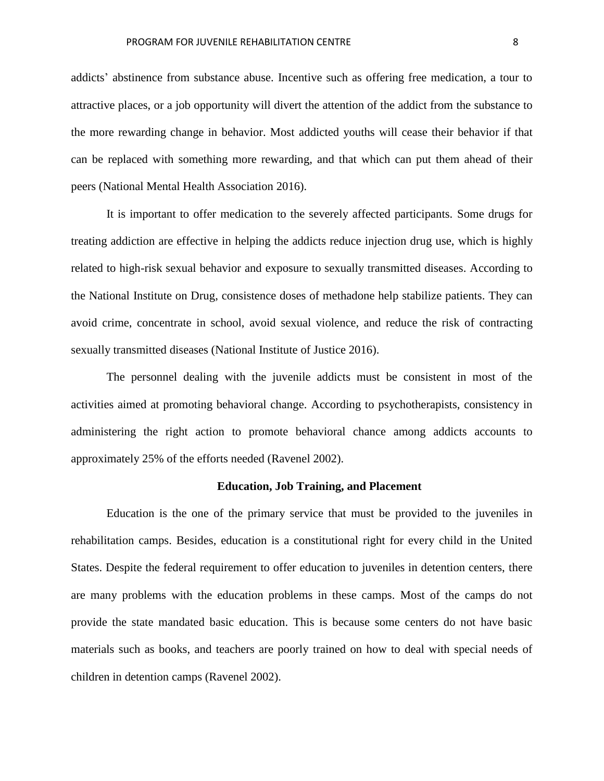addicts' abstinence from substance abuse. Incentive such as offering free medication, a tour to attractive places, or a job opportunity will divert the attention of the addict from the substance to the more rewarding change in behavior. Most addicted youths will cease their behavior if that can be replaced with something more rewarding, and that which can put them ahead of their peers (National Mental Health Association 2016).

It is important to offer medication to the severely affected participants. Some drugs for treating addiction are effective in helping the addicts reduce injection drug use, which is highly related to high-risk sexual behavior and exposure to sexually transmitted diseases. According to the National Institute on Drug, consistence doses of methadone help stabilize patients. They can avoid crime, concentrate in school, avoid sexual violence, and reduce the risk of contracting sexually transmitted diseases (National Institute of Justice 2016).

The personnel dealing with the juvenile addicts must be consistent in most of the activities aimed at promoting behavioral change. According to psychotherapists, consistency in administering the right action to promote behavioral chance among addicts accounts to approximately 25% of the efforts needed (Ravenel 2002).

### **Education, Job Training, and Placement**

Education is the one of the primary service that must be provided to the juveniles in rehabilitation camps. Besides, education is a constitutional right for every child in the United States. Despite the federal requirement to offer education to juveniles in detention centers, there are many problems with the education problems in these camps. Most of the camps do not provide the state mandated basic education. This is because some centers do not have basic materials such as books, and teachers are poorly trained on how to deal with special needs of children in detention camps (Ravenel 2002).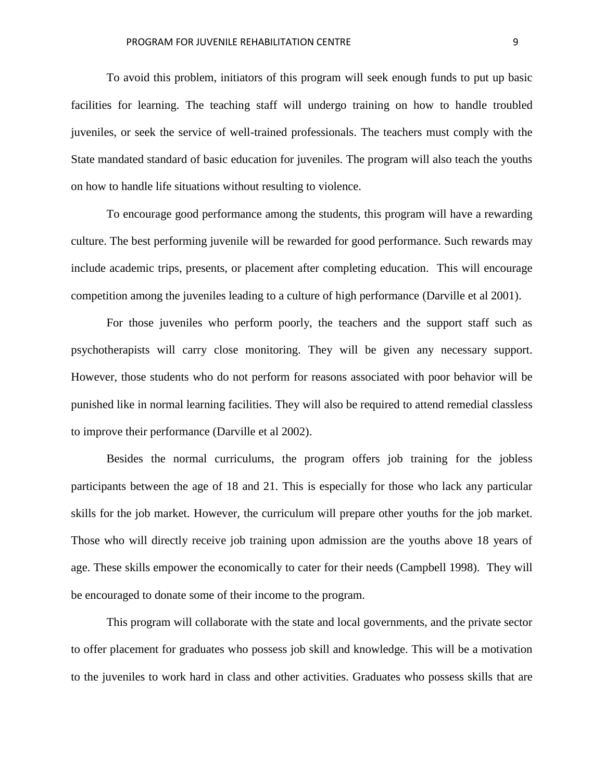To avoid this problem, initiators of this program will seek enough funds to put up basic facilities for learning. The teaching staff will undergo training on how to handle troubled juveniles, or seek the service of well-trained professionals. The teachers must comply with the State mandated standard of basic education for juveniles. The program will also teach the youths on how to handle life situations without resulting to violence.

To encourage good performance among the students, this program will have a rewarding culture. The best performing juvenile will be rewarded for good performance. Such rewards may include academic trips, presents, or placement after completing education. This will encourage competition among the juveniles leading to a culture of high performance (Darville et al 2001).

For those juveniles who perform poorly, the teachers and the support staff such as psychotherapists will carry close monitoring. They will be given any necessary support. However, those students who do not perform for reasons associated with poor behavior will be punished like in normal learning facilities. They will also be required to attend remedial classless to improve their performance (Darville et al 2002).

Besides the normal curriculums, the program offers job training for the jobless participants between the age of 18 and 21. This is especially for those who lack any particular skills for the job market. However, the curriculum will prepare other youths for the job market. Those who will directly receive job training upon admission are the youths above 18 years of age. These skills empower the economically to cater for their needs (Campbell 1998). They will be encouraged to donate some of their income to the program.

This program will collaborate with the state and local governments, and the private sector to offer placement for graduates who possess job skill and knowledge. This will be a motivation to the juveniles to work hard in class and other activities. Graduates who possess skills that are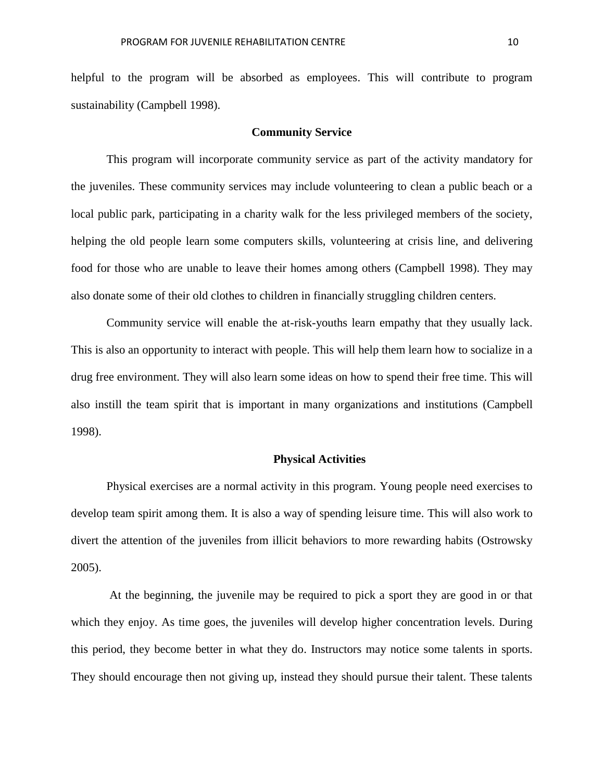helpful to the program will be absorbed as employees. This will contribute to program sustainability (Campbell 1998).

### **Community Service**

This program will incorporate community service as part of the activity mandatory for the juveniles. These community services may include volunteering to clean a public beach or a local public park, participating in a charity walk for the less privileged members of the society, helping the old people learn some computers skills, volunteering at crisis line, and delivering food for those who are unable to leave their homes among others (Campbell 1998). They may also donate some of their old clothes to children in financially struggling children centers.

Community service will enable the at-risk-youths learn empathy that they usually lack. This is also an opportunity to interact with people. This will help them learn how to socialize in a drug free environment. They will also learn some ideas on how to spend their free time. This will also instill the team spirit that is important in many organizations and institutions (Campbell 1998).

# **Physical Activities**

Physical exercises are a normal activity in this program. Young people need exercises to develop team spirit among them. It is also a way of spending leisure time. This will also work to divert the attention of the juveniles from illicit behaviors to more rewarding habits (Ostrowsky 2005).

At the beginning, the juvenile may be required to pick a sport they are good in or that which they enjoy. As time goes, the juveniles will develop higher concentration levels. During this period, they become better in what they do. Instructors may notice some talents in sports. They should encourage then not giving up, instead they should pursue their talent. These talents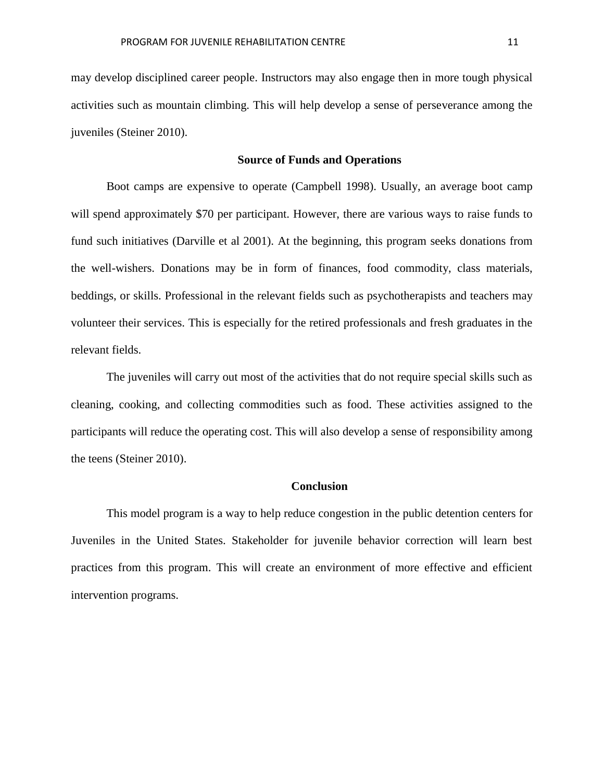may develop disciplined career people. Instructors may also engage then in more tough physical activities such as mountain climbing. This will help develop a sense of perseverance among the juveniles (Steiner 2010).

# **Source of Funds and Operations**

Boot camps are expensive to operate (Campbell 1998). Usually, an average boot camp will spend approximately \$70 per participant. However, there are various ways to raise funds to fund such initiatives (Darville et al 2001). At the beginning, this program seeks donations from the well-wishers. Donations may be in form of finances, food commodity, class materials, beddings, or skills. Professional in the relevant fields such as psychotherapists and teachers may volunteer their services. This is especially for the retired professionals and fresh graduates in the relevant fields.

The juveniles will carry out most of the activities that do not require special skills such as cleaning, cooking, and collecting commodities such as food. These activities assigned to the participants will reduce the operating cost. This will also develop a sense of responsibility among the teens (Steiner 2010).

### **Conclusion**

This model program is a way to help reduce congestion in the public detention centers for Juveniles in the United States. Stakeholder for juvenile behavior correction will learn best practices from this program. This will create an environment of more effective and efficient intervention programs.